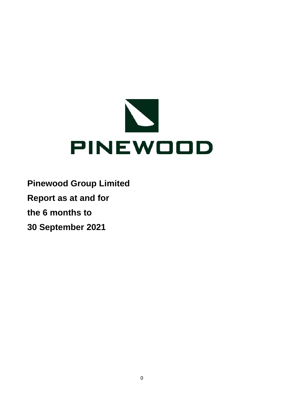

**Pinewood Group Limited**

**Report as at and for**

**the 6 months to**

**30 September 2021**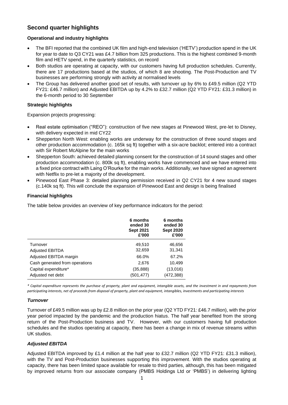# **Second quarter highlights**

## **Operational and industry highlights**

- The BFI reported that the combined UK film and high-end television ('HETV') production spend in the UK for year to date to Q3 CY21 was £4.7 billion from 325 productions. This is the highest combined 9-month film and HETV spend, in the quarterly statistics, on record
- Both studios are operating at capacity, with our customers having full production schedules. Currently, there are 17 productions based at the studios, of which 8 are shooting. The Post-Production and TV businesses are performing strongly with activity at normalised levels
- The Group has delivered another good set of results, with turnover up by 6% to £49.5 million (Q2 YTD FY21: £46.7 million) and Adjusted EBITDA up by 4.2% to £32.7 million (Q2 YTD FY21: £31.3 million) in the 6-month period to 30 September

#### **Strategic highlights**

Expansion projects progressing:

- Real estate optimisation ("REO"): construction of five new stages at Pinewood West, pre-let to Disney, with delivery expected in mid CY22
- Shepperton North West: enabling works are underway for the construction of three sound stages and other production accommodation (c. 165k sq ft) together with a six-acre backlot; entered into a contract with Sir Robert McAlpine for the main works
- Shepperton South: achieved detailed planning consent for the construction of 14 sound stages and other production accommodation (c. 800k sq ft), enabling works have commenced and we have entered into a fixed price contract with Laing O'Rourke for the main works. Additionally, we have signed an agreement with Netflix to pre-let a majority of the development.
- Pinewood East Phase 3: detailed planning permission received in Q2 CY21 for 4 new sound stages (c.140k sq ft). This will conclude the expansion of Pinewood East and design is being finalised

#### **Financial highlights**

The table below provides an overview of key performance indicators for the period:

|                                | 6 months<br>ended 30<br><b>Sept 2021</b><br>£'000 | 6 months<br>ended 30<br><b>Sept 2020</b><br>£'000 |
|--------------------------------|---------------------------------------------------|---------------------------------------------------|
| Turnover                       | 49,510                                            | 46,656                                            |
| <b>Adjusted EBITDA</b>         | 32,659                                            | 31,341                                            |
| Adjusted EBITDA margin         | 66.0%                                             | 67.2%                                             |
| Cash generated from operations | 2,676                                             | 10,499                                            |
| Capital expenditure*           | (35,888)                                          | (13,016)                                          |
| Adjusted net debt              | (501,477)                                         | (472, 388)                                        |

*\* Capital expenditure represents the purchase of property, plant and equipment, intangible assets, and the investment in and repayments from participating interests, net of proceeds from disposal of property, plant and equipment, intangibles, investments and participating interests*

#### *Turnover*

Turnover of £49.5 million was up by £2.8 million on the prior year (Q2 YTD FY21: £46.7 million), with the prior year period impacted by the pandemic and the production hiatus. The half year benefited from the strong return of the Post-Production business and TV. However, with our customers having full production schedules and the studios operating at capacity, there has been a change in mix of revenue streams within UK studios.

#### *Adjusted EBITDA*

Adjusted EBITDA improved by £1.4 million at the half year to £32.7 million (Q2 YTD FY21: £31.3 million), with the TV and Post-Production businesses supporting this improvement. With the studios operating at capacity, there has been limited space available for resale to third parties, although, this has been mitigated by improved returns from our associate company (PMBS Holdings Ltd or 'PMBS') in delivering lighting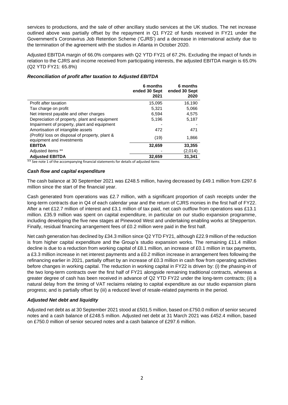services to productions, and the sale of other ancillary studio services at the UK studios. The net increase outlined above was partially offset by the repayment in Q1 FY22 of funds received in FY21 under the Government's Coronavirus Job Retention Scheme ('CJRS') and a decrease in international activity due to the termination of the agreement with the studios in Atlanta in October 2020.

Adjusted EBITDA margin of 66.0% compares with Q2 YTD FY21 of 67.2%. Excluding the impact of funds in relation to the CJRS and income received from participating interests, the adjusted EBITDA margin is 65.0% (Q2 YTD FY21: 65.8%)

|                                                                              | 6 months<br>ended 30 Sept<br>2021 | 6 months<br>ended 30 Sept<br>2020 |
|------------------------------------------------------------------------------|-----------------------------------|-----------------------------------|
| Profit after taxation                                                        | 15,095                            | 16,190                            |
| Tax charge on profit                                                         | 5,321                             | 5,066                             |
| Net interest payable and other charges                                       | 6,594                             | 4.575                             |
| Depreciation of property, plant and equipment                                | 5,196                             | 5,187                             |
| Impairment of property, plant and equipment                                  |                                   |                                   |
| Amortisation of intangible assets                                            | 472                               | 471                               |
| (Profit)/ loss on disposal of property, plant &<br>equipment and investments | (19)                              | 1,866                             |
| <b>EBITDA</b>                                                                | 32,659                            | 33,355                            |
| Adjusted items **                                                            |                                   | (2,014)                           |
| <b>Adjusted EBITDA</b>                                                       | 32,659                            | 31,341                            |

#### *Reconciliation of profit after taxation to Adjusted EBITDA*

\*\* See note 1 of the accompanying financial statements for details of adjusted items

#### *Cash flow and capital expenditure*

The cash balance at 30 September 2021 was £248.5 million, having decreased by £49.1 million from £297.6 million since the start of the financial year.

Cash generated from operations was £2.7 million, with a significant proportion of cash receipts under the long-term contracts due in Q4 of each calendar year and the return of CJRS monies in the first half of FY22. After a net £12.7 million of interest and £3.1 million of tax paid, net cash outflow from operations was £13.1 million. £35.9 million was spent on capital expenditure, in particular on our studio expansion programme, including developing the five new stages at Pinewood West and undertaking enabling works at Shepperton. Finally, residual financing arrangement fees of £0.2 million were paid in the first half.

Net cash generation has declined by £34.3 million since Q2 YTD FY21, although £22.9 million of the reduction is from higher capital expenditure and the Group's studio expansion works. The remaining £11.4 million decline is due to a reduction from working capital of £8.1 million, an increase of £0.1 million in tax payments, a £3.3 million increase in net interest payments and a £0.2 million increase in arrangement fees following the refinancing earlier in 2021, partially offset by an increase of £0.3 million in cash flow from operating activities before changes in working capital. The reduction in working capital in FY22 is driven by: (i) the phasing-in of the two long-term contracts over the first half of FY21 alongside remaining traditional contracts, whereas a greater degree of cash has been received in advance of Q2 YTD FY22 under the long-term contracts; (ii) a natural delay from the timing of VAT reclaims relating to capital expenditure as our studio expansion plans progress; and is partially offset by (iii) a reduced level of resale-related payments in the period.

#### *Adjusted Net debt and liquidity*

Adjusted net debt as at 30 September 2021 stood at £501.5 million, based on £750.0 million of senior secured notes and a cash balance of £248.5 million. Adjusted net debt at 31 March 2021 was £452.4 million, based on £750.0 million of senior secured notes and a cash balance of £297.6 million.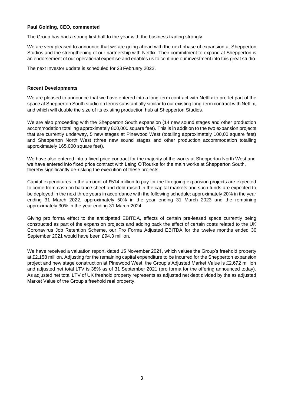#### **Paul Golding, CEO, commented**

The Group has had a strong first half to the year with the business trading strongly.

We are very pleased to announce that we are going ahead with the next phase of expansion at Shepperton Studios and the strengthening of our partnership with Netflix. Their commitment to expand at Shepperton is an endorsement of our operational expertise and enables us to continue our investment into this great studio.

The next Investor update is scheduled for 23 February 2022.

#### **Recent Developments**

We are pleased to announce that we have entered into a long-term contract with Netflix to pre-let part of the space at Shepperton South studio on terms substantially similar to our existing long-term contract with Netflix, and which will double the size of its existing production hub at Shepperton Studios.

We are also proceeding with the Shepperton South expansion (14 new sound stages and other production accommodation totalling approximately 800,000 square feet). This is in addition to the two expansion projects that are currently underway, 5 new stages at Pinewood West (totalling approximately 100,00 square feet) and Shepperton North West (three new sound stages and other production accommodation totalling approximately 165,000 square feet).

We have also entered into a fixed price contract for the majority of the works at Shepperton North West and we have entered into fixed price contract with Laing O'Rourke for the main works at Shepperton South, thereby significantly de-risking the execution of these projects.

Capital expenditures in the amount of £514 million to pay for the foregoing expansion projects are expected to come from cash on balance sheet and debt raised in the capital markets and such funds are expected to be deployed in the next three years in accordance with the following schedule: approximately 20% in the year ending 31 March 2022, approximately 50% in the year ending 31 March 2023 and the remaining approximately 30% in the year ending 31 March 2024.

Giving pro forma effect to the anticipated EBITDA, effects of certain pre-leased space currently being constructed as part of the expansion projects and adding back the effect of certain costs related to the UK Coronavirus Job Retention Scheme, our Pro Forma Adjusted EBITDA for the twelve months ended 30 September 2021 would have been £94.3 million.

We have received a valuation report, dated 15 November 2021, which values the Group's freehold property at £2,158 million. Adjusting for the remaining capital expenditure to be incurred for the Shepperton expansion project and new stage construction at Pinewood West, the Group's Adjusted Market Value is £2,672 million and adjusted net total LTV is 38% as of 31 September 2021 (pro forma for the offering announced today). As adjusted net total LTV of UK freehold property represents as adjusted net debt divided by the as adjusted Market Value of the Group's freehold real property.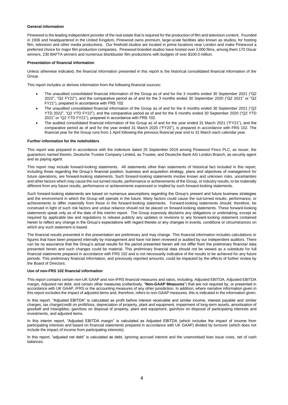#### **General information**

Pinewood is the leading independent provider of the real estate that is required for the production of film and television content. Founded in 1936 and headquartered in the United Kingdom, Pinewood owns premium, large-scale facilities also known as studios, for hosting film, television and other media productions. Our freehold studios are located in prime locations near London and make Pinewood a preferred choice for major film production companies. Pinewood branded studios have hosted over 2,000 films, among them 170 Oscar winners, 230 BAFTA winners and numerous blockbuster film productions with budgets of over \$100.0 million.

#### **Presentation of financial information**

Unless otherwise indicated, the financial information presented in this report is the historical consolidated financial information of the Group.

This report includes or derives information from the following financial sources:

- The unaudited consolidated financial information of the Group as of and for the 3 months ended 30 September 2021 ("Q2 2022", "Q2 FY22"), and the comparative period as of and for the 3 months ended 30 September 2020 ("Q2 2021" or "Q2 FY21"), prepared in accordance with FRS 102
- The unaudited consolidated financial information of the Group as of and for the 6 months ended 30 September 2021 ("Q2 YTD 2022", "Q2 YTD FY22"), and the comparative period as of and for the 6 months ended 30 September 2020 ("Q2 YTD 2021" or "Q2 YTD FY21"), prepared in accordance with FRS 102.
- The audited consolidated financial information of the Group as of and for the year ended 31 March 2021 ("FY21"), and the comparative period as of and for the year ended 31 March 2020 ("FY20"), is prepared in accordance with FRS 102. The financial year for the Group runs from 1 April following the previous financial year end to 31 March each calendar year.

#### **Further information for the noteholders**

This report was prepared in accordance with the indenture dated 25 September 2019 among Pinewood Finco PLC, as issuer, the guarantors named therein, Deutsche Trustee Company Limited, as Trustee, and Deutsche Bank AG London Branch, as security agent and as paying agent.

This report may include forward-looking statements. All statements other than statements of historical fact included in this report, including those regarding the Group's financial position, business and acquisition strategy, plans and objectives of management for future operations, are forward-looking statements. Such forward-looking statements involve known and unknown risks, uncertainties and other factors which may cause the out-turned results, performance or achievements of the Group, or industry results, to be materially different from any future results, performance or achievements expressed or implied by such forward-looking statements.

Such forward-looking statements are based on numerous assumptions regarding the Group's present and future business strategies and the environment in which the Group will operate in the future. Many factors could cause the out-turned results, performance, or achievements to differ materially from those in the forward-looking statements. Forward-looking statements should, therefore, be construed in light of such risk factors and undue reliance should not be placed on forward-looking statements. These forward-looking statements speak only as of the date of this interim report. The Group expressly disclaims any obligations or undertaking, except as required by applicable law and regulations to release publicly any updates or revisions to any forward-looking statement contained herein to reflect any change in the Group's expectations with regard thereto or any changes in events, conditions or circumstances on which any such statement is based.

The financial results presented in this presentation are preliminary and may change. This financial information includes calculations or figures that have been prepared internally by management and have not been reviewed or audited by our independent auditors. There can be no assurance that the Group's actual results for the period presented herein will not differ from the preliminary financial data presented herein and such changes could be material. This preliminary financial data should not be viewed as a substitute for full financial statements prepared in accordance with FRS 102 and is not necessarily indicative of the results to be achieved for any future periods. This preliminary financial information, and previously reported amounts, could be impacted by the effects of further review by the Board of Directors.

#### **Use of non-FRS 102 financial information**

This report contains certain non-UK GAAP and non-IFRS financial measures and ratios, including, Adjusted EBITDA, Adjusted EBITDA margin, Adjusted net debt, and certain other measures (collectively, "**Non-GAAP Measures**") that are not required by, or presented in accordance with UK GAAP, IFRS or the accounting measures of any other jurisdiction. In addition, where narrative information given in this report excludes the impact of adjusted items and, therefore, refers to non-GAAP measures, this is indicated in the information given.

In this report, "Adjusted EBITDA" is calculated as profit before interest receivable and similar income, interest payable and similar charges, tax charge/credit on profit/loss, depreciation of property, plant and equipment, impairment of long-term assets, amortisation of goodwill and intangibles, gain/loss on disposal of property, plant and equipment, gain/loss on disposal of participating interests and investments, and adjusted items.

In this interim report, "Adjusted EBITDA margin" is calculated as Adjusted EBITDA (which includes the impact of income from participating interests and based on financial statements prepared in accordance with UK GAAP) divided by turnover (which does not include the impact of income from participating interests).

In this report, "adjusted net debt" is calculated as debt, ignoring accrued interest and the unamortised loan issue costs, net of cash balances.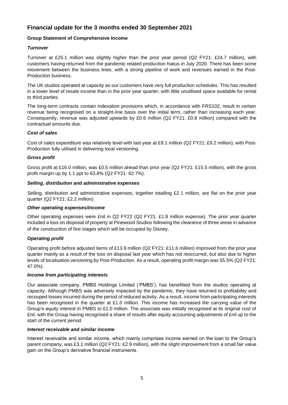# **Financial update for the 3 months ended 30 September 2021**

#### **Group Statement of Comprehensive Income**

#### *Turnover*

Turnover at £25.1 million was slightly higher than the prior year period (Q2 FY21: £24.7 million), with customers having returned from the pandemic related production hiatus in July 2020. There has been some movement between the business lines, with a strong pipeline of work and revenues earned in the Post-Production business.

The UK studios operated at capacity as our customers have very full production schedules. This has resulted in a lower level of resale income than in the prior year quarter, with little unutilised space available for rental to third parties.

The long-term contracts contain indexation provisions which, in accordance with FRS102, result in certain revenue being recognised on a straight-line basis over the initial term, rather than increasing each year. Consequently, revenue was adjusted upwards by £0.6 million (Q2 FY21: £0.8 million) compared with the contractual amounts due.

#### *Cost of sales*

Cost of sales expenditure was relatively level with last year at £9.1 million (Q2 FY21: £9.2 million), with Post-Production fully utilised in delivering local versioning.

#### *Gross profit*

Gross profit at £16.0 million, was £0.5 million ahead than prior year (Q2 FY21: £15.5 million), with the gross profit margin up by 1.1 ppt to 63.8% (Q2 FY21: 62.7%).

#### *Selling, distribution and administrative expenses*

Selling, distribution and administrative expenses, together totalling £2.1 million, are flat on the prior year quarter (Q2 FY21: £2.2 million).

#### *Other operating expenses/income*

Other operating expenses were £nil in Q2 FY22 (Q2 FY21: £1.8 million expense). The prior year quarter included a loss on disposal of property at Pinewood Studios following the clearance of three areas in advance of the construction of five stages which will be occupied by Disney.

#### *Operating profit*

Operating profit before adjusted items of £13.9 million (Q2 FY21: £11.6 million) improved from the prior year quarter mainly as a result of the loss on disposal last year which has not reoccurred, but also due to higher levels of localisation versioning by Post-Production. As a result, operating profit margin was 55.5% (Q2 FY21: 47.0%).

#### *Income from participating interests*

Our associate company, PMBS Holdings Limited ('PMBS'), has benefitted from the studios operating at capacity. Although PMBS was adversely impacted by the pandemic, they have returned to profitability and recouped losses incurred during the period of reduced activity. As a result, income from participating interests has been recognised in the quarter at £1.0 million. This income has increased the carrying value of the Group's equity interest in PMBS to £1.0 million. The associate was initially recognised at its original cost of £nil, with the Group having recognised a share of results after equity accounting adjustments of £nil up to the start of the current period.

#### *Interest receivable and similar income*

Interest receivable and similar income, which mainly comprises income earned on the loan to the Group's parent company, was £3.1 million (Q2 FY21: £2.9 million), with the slight improvement from a small fair value gain on the Group's derivative financial instruments.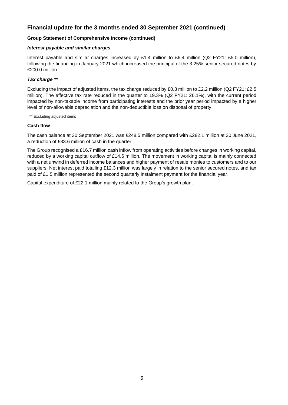# **Financial update for the 3 months ended 30 September 2021 (continued)**

#### **Group Statement of Comprehensive Income (continued)**

#### *Interest payable and similar charges*

Interest payable and similar charges increased by £1.4 million to £6.4 million (Q2 FY21: £5.0 million), following the financing in January 2021 which increased the principal of the 3.25% senior secured notes by £200.0 million.

#### *Tax charge \*\**

Excluding the impact of adjusted items, the tax charge reduced by £0.3 million to £2.2 million (Q2 FY21: £2.5 million). The effective tax rate reduced in the quarter to 19.3% (Q2 FY21: 26.1%), with the current period impacted by non-taxable income from participating interests and the prior year period impacted by a higher level of non-allowable depreciation and the non-deductible loss on disposal of property.

\*\* Excluding adjusted items

#### **Cash flow**

The cash balance at 30 September 2021 was £248.5 million compared with £282.1 million at 30 June 2021, a reduction of £33.6 million of cash in the quarter.

The Group recognised a £16.7 million cash inflow from operating activities before changes in working capital, reduced by a working capital outflow of £14.6 million. The movement in working capital is mainly connected with a net unwind in deferred income balances and higher payment of resale monies to customers and to our suppliers. Net interest paid totalling £12.3 million was largely in relation to the senior secured notes, and tax paid of £1.5 million represented the second quarterly instalment payment for the financial year.

Capital expenditure of £22.1 million mainly related to the Group's growth plan.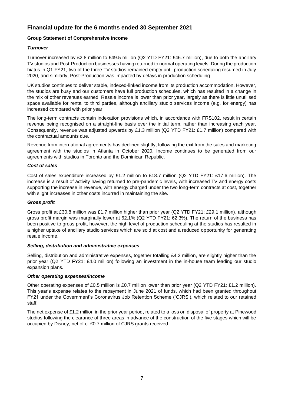# **Financial update for the 6 months ended 30 September 2021**

#### **Group Statement of Comprehensive Income**

#### *Turnover*

Turnover increased by £2.8 million to £49.5 million (Q2 YTD FY21: £46.7 million), due to both the ancillary TV studios and Post-Production businesses having returned to normal operating levels. During the production hiatus in Q1 FY21, two of the three TV studios remained empty until production scheduling resumed in July 2020, and similarly, Post-Production was impacted by delays in production scheduling.

UK studios continues to deliver stable, indexed-linked income from its production accommodation. However, the studios are busy and our customers have full production schedules, which has resulted in a change in the mix of other revenues earned. Resale income is lower than prior year, largely as there is little unutilised space available for rental to third parties, although ancillary studio services income (e.g. for energy) has increased compared with prior year.

The long-term contracts contain indexation provisions which, in accordance with FRS102, result in certain revenue being recognised on a straight-line basis over the initial term, rather than increasing each year. Consequently, revenue was adjusted upwards by £1.3 million (Q2 YTD FY21: £1.7 million) compared with the contractual amounts due.

Revenue from international agreements has declined slightly, following the exit from the sales and marketing agreement with the studios in Atlanta in October 2020. Income continues to be generated from our agreements with studios in Toronto and the Dominican Republic.

#### *Cost of sales*

Cost of sales expenditure increased by £1.2 million to £18.7 million (Q2 YTD FY21: £17.6 million). The increase is a result of activity having returned to pre-pandemic levels, with increased TV and energy costs supporting the increase in revenue, with energy charged under the two long-term contracts at cost, together with slight increases in other costs incurred in maintaining the site.

#### *Gross profit*

Gross profit at £30.8 million was £1.7 million higher than prior year (Q2 YTD FY21: £29.1 million), although gross profit margin was marginally lower at 62.1% (Q2 YTD FY21: 62.3%). The return of the business has been positive to gross profit, however, the high level of production scheduling at the studios has resulted in a higher uptake of ancillary studio services which are sold at cost and a reduced opportunity for generating resale income.

#### *Selling, distribution and administrative expenses*

Selling, distribution and administrative expenses, together totalling £4.2 million, are slightly higher than the prior year (Q2 YTD FY21: £4.0 million) following an investment in the in-house team leading our studio expansion plans.

#### *Other operating expenses/income*

Other operating expenses of £0.5 million is £0.7 million lower than prior year (Q2 YTD FY21: £1.2 million). This year's expense relates to the repayment in June 2021 of funds, which had been granted throughout FY21 under the Government's Coronavirus Job Retention Scheme ('CJRS'), which related to our retained staff.

The net expense of £1.2 million in the prior year period, related to a loss on disposal of property at Pinewood studios following the clearance of three areas in advance of the construction of the five stages which will be occupied by Disney, net of c. £0.7 million of CJRS grants received.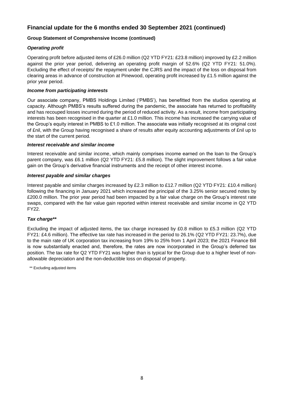# **Financial update for the 6 months ended 30 September 2021 (continued)**

#### **Group Statement of Comprehensive Income (continued)**

#### *Operating profit*

Operating profit before adjusted items of £26.0 million (Q2 YTD FY21: £23.8 million) improved by £2.2 million against the prior year period, delivering an operating profit margin of 52.6% (Q2 YTD FY21: 51.0%). Excluding the effect of receipts/ the repayment under the CJRS and the impact of the loss on disposal from clearing areas in advance of construction at Pinewood, operating profit increased by £1.5 million against the prior year period.

#### *Income from participating interests*

Our associate company, PMBS Holdings Limited ('PMBS'), has benefitted from the studios operating at capacity. Although PMBS's results suffered during the pandemic, the associate has returned to profitability and has recouped losses incurred during the period of reduced activity. As a result, income from participating interests has been recognised in the quarter at £1.0 million. This income has increased the carrying value of the Group's equity interest in PMBS to £1.0 million. The associate was initially recognised at its original cost of £nil, with the Group having recognised a share of results after equity accounting adjustments of £nil up to the start of the current period.

#### *Interest receivable and similar income*

Interest receivable and similar income, which mainly comprises income earned on the loan to the Group's parent company, was £6.1 million (Q2 YTD FY21: £5.8 million). The slight improvement follows a fair value gain on the Group's derivative financial instruments and the receipt of other interest income.

#### *Interest payable and similar charges*

Interest payable and similar charges increased by £2.3 million to £12.7 million (Q2 YTD FY21: £10.4 million) following the financing in January 2021 which increased the principal of the 3.25% senior secured notes by £200.0 million. The prior year period had been impacted by a fair value charge on the Group's interest rate swaps, compared with the fair value gain reported within interest receivable and similar income in Q2 YTD FY22.

#### *Tax charge\*\**

Excluding the impact of adjusted items, the tax charge increased by £0.8 million to £5.3 million (Q2 YTD FY21: £4.6 million). The effective tax rate has increased in the period to 26.1% (Q2 YTD FY21: 23.7%), due to the main rate of UK corporation tax increasing from 19% to 25% from 1 April 2023; the 2021 Finance Bill is now substantially enacted and, therefore, the rates are now incorporated in the Group's deferred tax position. The tax rate for Q2 YTD FY21 was higher than is typical for the Group due to a higher level of nonallowable depreciation and the non-deductible loss on disposal of property.

\*\* Excluding adjusted items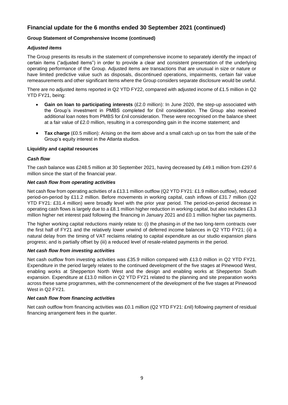# **Financial update for the 6 months ended 30 September 2021 (continued)**

#### **Group Statement of Comprehensive Income (continued)**

#### *Adjusted items*

The Group presents its results in the statement of comprehensive income to separately identify the impact of certain items ("adjusted items") in order to provide a clear and consistent presentation of the underlying operating performance of the Group. Adjusted items are transactions that are unusual in size or nature or have limited predictive value such as disposals, discontinued operations, impairments, certain fair value remeasurements and other significant items where the Group considers separate disclosure would be useful.

There are no adjusted items reported in Q2 YTD FY22, compared with adjusted income of £1.5 million in Q2 YTD FY21, being:

- **Gain on loan to participating interests** (£2.0 million): In June 2020, the step-up associated with the Group's investment in PMBS completed for £nil consideration. The Group also received additional loan notes from PMBS for £nil consideration. These were recognised on the balance sheet at a fair value of £2.0 million, resulting in a corresponding gain in the income statement; and
- **Tax charge** (£0.5 million): Arising on the item above and a small catch up on tax from the sale of the Group's equity interest in the Atlanta studios.

#### **Liquidity and capital resources**

#### *Cash flow*

The cash balance was £248.5 million at 30 September 2021, having decreased by £49.1 million from £297.6 million since the start of the financial year.

#### *Net cash flow from operating activities*

Net cash flow from operating activities of a £13.1 million outflow (Q2 YTD FY21: £1.9 million outflow), reduced period-on-period by £11.2 million. Before movements in working capital, cash inflows of £31.7 million (Q2 YTD FY21: £31.4 million) were broadly level with the prior year period. The period-on-period decrease in operating cash flows is largely due to a £8.1 million higher reduction in working capital, but also includes £3.3 million higher net interest paid following the financing in January 2021 and £0.1 million higher tax payments.

The higher working capital reductions mainly relate to: (i) the phasing-in of the two long-term contracts over the first half of FY21 and the relatively lower unwind of deferred income balances in Q2 YTD FY21; (ii) a natural delay from the timing of VAT reclaims relating to capital expenditure as our studio expansion plans progress; and is partially offset by (iii) a reduced level of resale-related payments in the period.

#### *Net cash flow from investing activities*

Net cash outflow from investing activities was £35.9 million compared with £13.0 million in Q2 YTD FY21. Expenditure in the period largely relates to the continued development of the five stages at Pinewood West, enabling works at Shepperton North West and the design and enabling works at Shepperton South expansion. Expenditure at £13.0 million in Q2 YTD FY21 related to the planning and site preparation works across these same programmes, with the commencement of the development of the five stages at Pinewood West in Q2 FY21.

#### *Net cash flow from financing activities*

Net cash outflow from financing activities was £0.1 million (Q2 YTD FY21: £nil) following payment of residual financing arrangement fees in the quarter.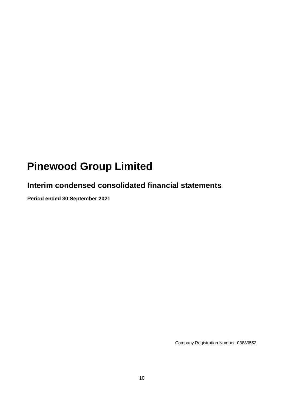# **Pinewood Group Limited**

# **Interim condensed consolidated financial statements**

**Period ended 30 September 2021**

Company Registration Number: 03889552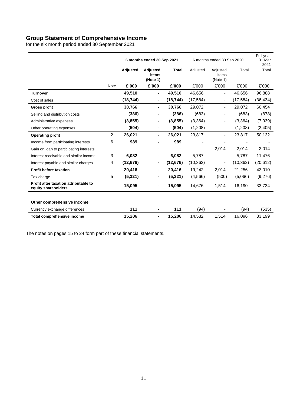## **Group Statement of Comprehensive Income**

for the six month period ended 30 September 2021

|                                                              |                |           | 6 months ended 30 Sep 2021           |              | 6 months ended 30 Sep 2020 |                               |           | Full year<br>31 Mar<br>2021 |
|--------------------------------------------------------------|----------------|-----------|--------------------------------------|--------------|----------------------------|-------------------------------|-----------|-----------------------------|
|                                                              |                | Adjusted  | <b>Adjusted</b><br>items<br>(Note 1) | <b>Total</b> | Adjusted                   | Adjusted<br>items<br>(Note 1) | Total     | Total                       |
|                                                              | <b>Note</b>    | £'000     | £'000                                | £'000        | £'000                      | £'000                         | £'000     | £'000                       |
| <b>Turnover</b>                                              |                | 49,510    | Ξ.                                   | 49,510       | 46,656                     | $\overline{\phantom{a}}$      | 46,656    | 96,888                      |
| Cost of sales                                                |                | (18, 744) | ۰                                    | (18, 744)    | (17, 584)                  | $\overline{\phantom{a}}$      | (17, 584) | (36, 434)                   |
| <b>Gross profit</b>                                          |                | 30,766    | Ξ.                                   | 30,766       | 29,072                     | $\overline{\phantom{0}}$      | 29,072    | 60,454                      |
| Selling and distribution costs                               |                | (386)     |                                      | (386)        | (683)                      |                               | (683)     | (878)                       |
| Administrative expenses                                      |                | (3,855)   | ۰                                    | (3,855)      | (3, 364)                   | -                             | (3,364)   | (7,039)                     |
| Other operating expenses                                     |                | (504)     | Ξ.                                   | (504)        | (1,208)                    | $\overline{\phantom{0}}$      | (1,208)   | (2, 405)                    |
| <b>Operating profit</b>                                      | $\overline{c}$ | 26,021    | Ξ.                                   | 26,021       | 23,817                     | $\overline{\phantom{0}}$      | 23,817    | 50,132                      |
| Income from participating interests                          | 6              | 989       |                                      | 989          |                            |                               |           |                             |
| Gain on loan to participating interests                      |                |           |                                      |              | $\overline{\phantom{a}}$   | 2,014                         | 2,014     | 2,014                       |
| Interest receivable and similar income                       | 3              | 6,082     | ۰                                    | 6,082        | 5,787                      | $\overline{\phantom{a}}$      | 5,787     | 11,476                      |
| Interest payable and similar charges                         | 4              | (12, 676) | ۰                                    | (12, 676)    | (10, 362)                  | $\overline{\phantom{a}}$      | (10, 362) | (20, 612)                   |
| <b>Profit before taxation</b>                                |                | 20,416    | Ξ.                                   | 20,416       | 19,242                     | 2,014                         | 21,256    | 43,010                      |
| Tax charge                                                   | 5              | (5, 321)  | ۰                                    | (5, 321)     | (4, 566)                   | (500)                         | (5,066)   | (9,276)                     |
| Profit after taxation attributable to<br>equity shareholders |                | 15,095    |                                      | 15,095       | 14,676                     | 1,514                         | 16,190    | 33,734                      |
| Other comprehensive income                                   |                |           |                                      |              |                            |                               |           |                             |
| Currency exchange differences                                |                | 111       |                                      | 111          | (94)                       |                               | (94)      | (535)                       |
| <b>Total comprehensive income</b>                            |                | 15,206    | Ξ.                                   | 15,206       | 14,582                     | 1,514                         | 16,096    | 33,199                      |

The notes on pages 15 to 24 form part of these financial statements.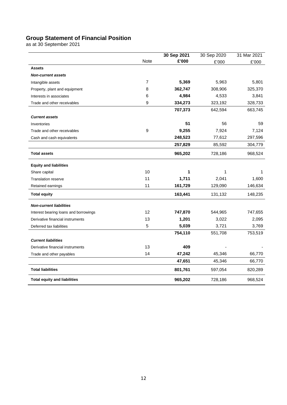## **Group Statement of Financial Position**

as at 30 September 2021

|                                       |                | 30 Sep 2021 | 30 Sep 2020 | 31 Mar 2021 |
|---------------------------------------|----------------|-------------|-------------|-------------|
|                                       | <b>Note</b>    | £'000       | £'000       | £'000       |
| <b>Assets</b>                         |                |             |             |             |
| <b>Non-current assets</b>             |                |             |             |             |
| Intangible assets                     | $\overline{7}$ | 5,369       | 5,963       | 5,801       |
| Property, plant and equipment         | 8              | 362,747     | 308,906     | 325,370     |
| Interests in associates               | 6              | 4,984       | 4,533       | 3,841       |
| Trade and other receivables           | 9              | 334,273     | 323,192     | 328,733     |
|                                       |                | 707,373     | 642,594     | 663,745     |
| <b>Current assets</b>                 |                |             |             |             |
| Inventories                           |                | 51          | 56          | 59          |
| Trade and other receivables           | 9              | 9,255       | 7,924       | 7,124       |
| Cash and cash equivalents             |                | 248,523     | 77,612      | 297,596     |
|                                       |                | 257,829     | 85,592      | 304,779     |
| <b>Total assets</b>                   |                | 965,202     | 728,186     | 968,524     |
| <b>Equity and liabilities</b>         |                |             |             |             |
| Share capital                         | 10             | 1           | 1           | 1           |
| <b>Translation reserve</b>            | 11             | 1,711       | 2,041       | 1,600       |
| Retained earnings                     | 11             | 161,729     | 129,090     | 146,634     |
| <b>Total equity</b>                   |                | 163,441     | 131,132     | 148,235     |
| <b>Non-current liabilities</b>        |                |             |             |             |
| Interest bearing loans and borrowings | 12             | 747,870     | 544,965     | 747,655     |
| Derivative financial instruments      | 13             | 1,201       | 3,022       | 2,095       |
| Deferred tax liabilities              | 5              | 5,039       | 3,721       | 3,769       |
|                                       |                | 754,110     | 551,708     | 753,519     |
| <b>Current liabilities</b>            |                |             |             |             |
| Derivative financial instruments      | 13             | 409         |             |             |
| Trade and other payables              | 14             | 47,242      | 45,346      | 66,770      |
|                                       |                | 47,651      | 45,346      | 66,770      |
| <b>Total liabilities</b>              |                | 801,761     | 597,054     | 820,289     |
| <b>Total equity and liabilities</b>   |                | 965,202     | 728,186     | 968,524     |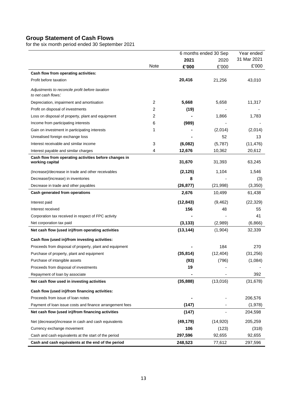# **Group Statement of Cash Flows**

for the six month period ended 30 September 2021

|                                                                          |             |           | 6 months ended 30 Sep | Year ended  |
|--------------------------------------------------------------------------|-------------|-----------|-----------------------|-------------|
|                                                                          |             | 2021      | 2020                  | 31 Mar 2021 |
|                                                                          | <b>Note</b> | £'000     | £'000                 | £'000       |
| Cash flow from operating activities:                                     |             |           |                       |             |
| Profit before taxation                                                   |             | 20,416    | 21,256                | 43,010      |
| Adjustments to reconcile profit before taxation<br>to net cash flows:    |             |           |                       |             |
| Depreciation, impairment and amortisation                                | 2           | 5,668     | 5,658                 | 11,317      |
| Profit on disposal of investments                                        | 2           | (19)      |                       |             |
| Loss on disposal of property, plant and equipment                        | 2           |           | 1,866                 | 1,783       |
| Income from participating interests                                      | 6           | (989)     |                       |             |
| Gain on investment in participating interests                            | 1           |           | (2,014)               | (2,014)     |
| Unrealised foreign exchange loss                                         |             |           | 52                    | 13          |
| Interest receivable and similar income                                   | 3           | (6,082)   | (5,787)               | (11, 476)   |
| Interest payable and similar charges                                     | 4           | 12,676    | 10,362                | 20,612      |
| Cash flow from operating activities before changes in<br>working capital |             | 31,670    | 31,393                | 63,245      |
| (Increase)/decrease in trade and other receivables                       |             | (2, 125)  | 1,104                 | 1,546       |
| Decrease/(increase) in inventories                                       |             | 8         |                       | (3)         |
| Decrease in trade and other payables                                     |             | (26, 877) | (21, 998)             | (3,350)     |
| Cash generated from operations                                           |             | 2,676     | 10,499                | 61,438      |
| Interest paid                                                            |             | (12, 843) | (9, 462)              | (22, 329)   |
| Interest received                                                        |             | 156       | 48                    | 55          |
| Corporation tax received in respect of FPC activity                      |             |           |                       | 41          |
| Net corporation tax paid                                                 |             | (3, 133)  | (2,989)               | (6,866)     |
| Net cash flow (used in)/from operating activities                        |             | (13, 144) | (1,904)               | 32,339      |
| Cash flow (used in)/from investing activities:                           |             |           |                       |             |
| Proceeds from disposal of property, plant and equipment                  |             |           | 184                   | 270         |
| Purchase of property, plant and equipment                                |             | (35, 814) | (12, 404)             | (31, 256)   |
| Purchase of intangible assets                                            |             | (93)      | (796)                 | (1,084)     |
| Proceeds from disposal of investments                                    |             | 19        |                       |             |
| Repayment of loan by associate                                           |             |           |                       | 392         |
| Net cash flow used in investing activities                               |             | (35, 888) | (13,016)              | (31, 678)   |
| Cash flow (used in)/from financing activities:                           |             |           |                       |             |
| Proceeds from issue of loan notes                                        |             |           |                       | 206,576     |
| Payment of loan issue costs and finance arrangement fees                 |             | (147)     |                       | (1,978)     |
| Net cash flow (used in)/from financing activities                        |             | (147)     |                       | 204,598     |
| Net (decrease)/increase in cash and cash equivalents                     |             | (49, 179) | (14, 920)             | 205,259     |
| Currency exchange movement                                               |             | 106       | (123)                 | (318)       |
| Cash and cash equivalents at the start of the period                     |             | 297,596   | 92,655                | 92,655      |
| Cash and cash equivalents at the end of the period                       |             | 248,523   | 77,612                | 297,596     |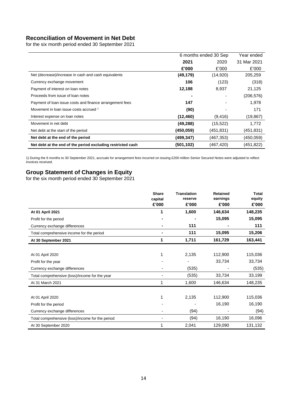# **Reconciliation of Movement in Net Debt**

for the six month period ended 30 September 2021

|                                                             |            | 6 months ended 30 Sep | Year ended  |
|-------------------------------------------------------------|------------|-----------------------|-------------|
|                                                             | 2021       | 2020                  | 31 Mar 2021 |
|                                                             | £'000      | £'000                 | £'000       |
| Net (decrease)/increase in cash and cash equivalents        | (49, 179)  | (14, 920)             | 205,259     |
| Currency exchange movement                                  | 106        | (123)                 | (318)       |
| Payment of interest on loan notes                           | 12,188     | 8,937                 | 21,125      |
| Proceeds from issue of loan notes                           |            |                       | (206, 576)  |
| Payment of loan issue costs and finance arrangement fees    | 147        |                       | 1,978       |
| Movement in loan issue costs accrued 1                      | (90)       |                       | 171         |
| Interest expense on loan notes                              | (12, 460)  | (9, 416)              | (19, 867)   |
| Movement in net debt                                        | (49, 288)  | (15, 522)             | 1,772       |
| Net debt at the start of the period                         | (450, 059) | (451, 831)            | (451,831)   |
| Net debt at the end of the period                           | (499, 347) | (467, 353)            | (450,059)   |
| Net debt at the end of the period excluding restricted cash | (501, 102) | (467, 420)            | (451,822)   |

1) During the 6 months to 30 September 2021, accruals for arrangement fees incurred on issuing £200 million Senior Secured Notes were adjusted to reflect invoices received.

## **Group Statement of Changes in Equity**

for the six month period ended 30 September 2021

|                                                  | <b>Share</b> | <b>Translation</b> | <b>Retained</b> | <b>Total</b> |
|--------------------------------------------------|--------------|--------------------|-----------------|--------------|
|                                                  | capital      | reserve            | earnings        | equity       |
|                                                  | £'000        | £'000              | £'000           | £'000        |
| At 01 April 2021                                 | 1            | 1,600              | 146,634         | 148,235      |
| Profit for the period                            |              |                    | 15,095          | 15,095       |
| Currency exchange differences                    |              | 111                |                 | 111          |
| Total comprehensive income for the period        | ۰            | 111                | 15,095          | 15,206       |
| At 30 September 2021                             | 1            | 1,711              | 161,729         | 163,441      |
|                                                  |              |                    |                 |              |
| At 01 April 2020                                 |              | 2,135              | 112,900         | 115,036      |
| Profit for the year                              |              |                    | 33,734          | 33,734       |
| Currency exchange differences                    |              | (535)              |                 | (535)        |
| Total comprehensive (loss)/income for the year   |              | (535)              | 33,734          | 33,199       |
| At 31 March 2021                                 | 1            | 1,600              | 146,634         | 148,235      |
|                                                  |              |                    |                 |              |
| At 01 April 2020                                 |              | 2,135              | 112,900         | 115,036      |
| Profit for the period                            |              |                    | 16,190          | 16,190       |
| Currency exchange differences                    |              | (94)               |                 | (94)         |
| Total comprehensive (loss)/income for the period |              | (94)               | 16,190          | 16,096       |
| At 30 September 2020                             |              | 2,041              | 129,090         | 131,132      |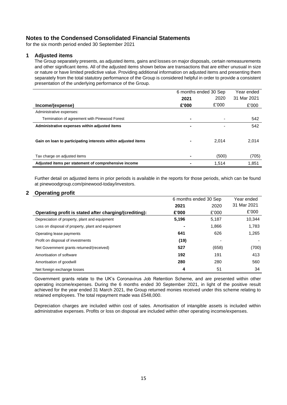for the six month period ended 30 September 2021

#### **1 Adjusted items**

The Group separately presents, as adjusted items, gains and losses on major disposals, certain remeasurements and other significant items. All of the adjusted items shown below are transactions that are either unusual in size or nature or have limited predictive value. Providing additional information on adjusted items and presenting them separately from the total statutory performance of the Group is considered helpful in order to provide a consistent presentation of the underlying performance of the Group.

|                                                               | 6 months ended 30 Sep |       | Year ended  |  |
|---------------------------------------------------------------|-----------------------|-------|-------------|--|
|                                                               | 2021                  | 2020  | 31 Mar 2021 |  |
| Income/(expense)                                              | £'000                 | £'000 | £'000       |  |
| Administrative expenses:                                      |                       |       |             |  |
| Termination of agreement with Pinewood Forest                 | ۰                     |       | 542         |  |
| Administrative expenses within adjusted items                 | $\blacksquare$        |       | 542         |  |
| Gain on loan to participating interests within adjusted items | ۰                     | 2.014 | 2,014       |  |
| Tax charge on adjusted items                                  |                       | (500) | (705)       |  |
| Adjusted items per statement of comprehensive income          |                       | 1.514 | 1,851       |  |

Further detail on adjusted items in prior periods is available in the reports for those periods, which can be found at pinewoodgroup.com/pinewood-today/investors.

#### **2 Operating profit**

|                                                        | 6 months ended 30 Sep |       | Year ended  |
|--------------------------------------------------------|-----------------------|-------|-------------|
|                                                        | 2021                  | 2020  | 31 Mar 2021 |
| Operating profit is stated after charging/(crediting): | £'000                 | £'000 | £'000       |
| Depreciation of property, plant and equipment          | 5,196                 | 5.187 | 10,344      |
| Loss on disposal of property, plant and equipment      |                       | 1,866 | 1,783       |
| Operating lease payments                               | 641                   | 626   | 1,265       |
| Profit on disposal of investments                      | (19)                  |       |             |
| Net Government grants returned/(received)              | 527                   | (658) | (700)       |
| Amortisation of software                               | 192                   | 191   | 413         |
| Amortisation of goodwill                               | 280                   | 280   | 560         |
| Net foreign exchange losses                            | 4                     | 51    | 34          |

Government grants relate to the UK's Coronavirus Job Retention Scheme, and are presented within other operating income/expenses. During the 6 months ended 30 September 2021, in light of the positive result achieved for the year ended 31 March 2021, the Group returned monies received under this scheme relating to retained employees. The total repayment made was £548,000.

Depreciation charges are included within cost of sales. Amortisation of intangible assets is included within administrative expenses. Profits or loss on disposal are included within other operating income/expenses.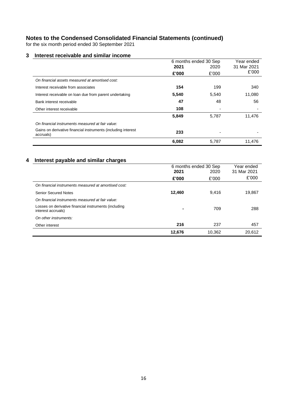for the six month period ended 30 September 2021

#### **3 Interest receivable and similar income**

|                                                                            | 6 months ended 30 Sep |       | Year ended  |  |
|----------------------------------------------------------------------------|-----------------------|-------|-------------|--|
|                                                                            | 2021                  | 2020  | 31 Mar 2021 |  |
|                                                                            | £'000                 | £'000 | £'000       |  |
| On financial assets measured at amortised cost:                            |                       |       |             |  |
| Interest receivable from associates                                        | 154                   | 199   | 340         |  |
| Interest receivable on loan due from parent undertaking                    | 5,540                 | 5,540 | 11,080      |  |
| Bank interest receivable                                                   | 47                    | 48    | 56          |  |
| Other interest receivable                                                  | 108                   |       |             |  |
|                                                                            | 5,849                 | 5,787 | 11,476      |  |
| On financial instruments measured at fair value:                           |                       |       |             |  |
| Gains on derivative financial instruments (including interest<br>accruals) | 233                   |       |             |  |
|                                                                            | 6,082                 | 5.787 | 11.476      |  |

# **4 Interest payable and similar charges**

|                                                                             | 6 months ended 30 Sep |        | Year ended  |
|-----------------------------------------------------------------------------|-----------------------|--------|-------------|
|                                                                             | 2021                  | 2020   | 31 Mar 2021 |
|                                                                             | £'000                 | £'000  | £'000       |
| On financial instruments measured at amortised cost:                        |                       |        |             |
| <b>Senior Secured Notes</b>                                                 | 12,460                | 9.416  | 19,867      |
| On financial instruments measured at fair value:                            |                       |        |             |
| Losses on derivative financial instruments (including<br>interest accruals) |                       | 709    | 288         |
| On other instruments:                                                       |                       |        |             |
| Other interest                                                              | 216                   | 237    | 457         |
|                                                                             | 12,676                | 10,362 | 20,612      |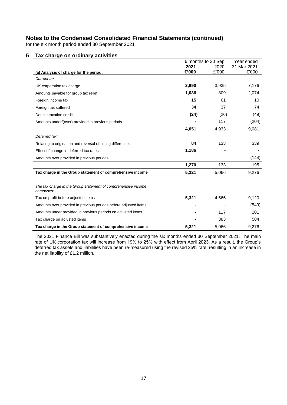for the six month period ended 30 September 2021

# **5 Tax charge on ordinary activities**

|                                                                             | 6 months to 30 Sep |       | Year ended  |
|-----------------------------------------------------------------------------|--------------------|-------|-------------|
|                                                                             | 2021               | 2020  | 31 Mar 2021 |
| (a) Analysis of charge for the period:                                      | £'000              | £'000 | £'000       |
| Current tax:                                                                |                    |       |             |
| UK corporation tax charge                                                   | 2,990              | 3,935 | 7,176       |
| Amounts payable for group tax relief                                        | 1,036              | 809   | 2,074       |
| Foreign income tax                                                          | 15                 | 61    | 10          |
| Foreign tax suffered                                                        | 34                 | 37    | 74          |
| Double taxation credit                                                      | (24)               | (26)  | (49)        |
| Amounts under/(over) provided in previous periods                           |                    | 117   | (204)       |
|                                                                             | 4,051              | 4,933 | 9,081       |
| Deferred tax:                                                               |                    |       |             |
| Relating to origination and reversal of timing differences                  | 84                 | 133   | 339         |
| Effect of change in deferred tax rates                                      | 1,186              |       |             |
| Amounts over provided in previous periods                                   |                    |       | (144)       |
|                                                                             | 1,270              | 133   | 195         |
| Tax charge in the Group statement of comprehensive income                   | 5,321              | 5,066 | 9,276       |
|                                                                             |                    |       |             |
| The tax charge in the Group statement of comprehensive income<br>comprises: |                    |       |             |
| Tax on profit before adjusted items                                         | 5,321              | 4,566 | 9,120       |
| Amounts over provided in previous periods before adjusted items             |                    |       | (549)       |
| Amounts under provided in previous periods on adjusted items                |                    | 117   | 201         |
| Tax charge on adjusted items                                                |                    | 383   | 504         |
| Tax charge in the Group statement of comprehensive income                   | 5,321              | 5,066 | 9,276       |

The 2021 Finance Bill was substantively enacted during the six months ended 30 September 2021. The main rate of UK corporation tax will increase from 19% to 25% with effect from April 2023. As a result, the Group's deferred tax assets and liabilities have been re-measured using the revised 25% rate, resulting in an increase in the net liability of £1.2 million.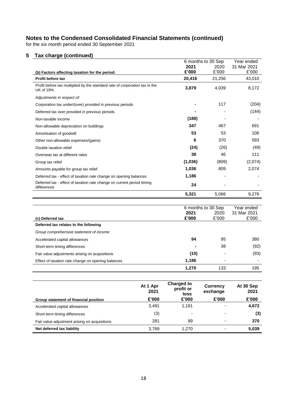for the six month period ended 30 September 2021

# **5 Tax charge (continued)**

|                                                                                                 | 6 months to 30 Sep |        | Year ended  |
|-------------------------------------------------------------------------------------------------|--------------------|--------|-------------|
|                                                                                                 | 2021               | 2020   | 31 Mar 2021 |
| (b) Factors affecting taxation for the period:                                                  | £'000              | £'000  | £'000       |
| Profit before tax                                                                               | 20,416             | 21,256 | 43,010      |
| Profit before tax multiplied by the standard rate of corporation tax in the<br><b>UK of 19%</b> | 3,879              | 4,039  | 8,172       |
| Adjustments in respect of:                                                                      |                    |        |             |
| Corporation tax under/(over) provided in previous periods                                       |                    | 117    | (204)       |
| Deferred tax over provided in previous periods                                                  |                    |        | (144)       |
| Non-taxable income                                                                              | (188)              |        |             |
| Non-allowable depreciation on buildings                                                         | 347                | 467    | 691         |
| Amortisation of goodwill                                                                        | 53                 | 53     | 106         |
| Other non-allowable expenses/(gains)                                                            | 6                  | 370    | 593         |
| Double taxation relief                                                                          | (24)               | (26)   | (49)        |
| Overseas tax at different rates                                                                 | 38                 | 46     | 111         |
| Group tax relief                                                                                | (1,036)            | (809)  | (2,074)     |
| Amounts payable for group tax relief                                                            | 1,036              | 809    | 2,074       |
| Deferred tax - effect of taxation rate change on opening balances                               | 1,186              |        |             |
| Deferred tax - effect of taxation rate change on current period timing<br>differences           | 24                 |        |             |
|                                                                                                 | 5,321              | 5,066  | 9,276       |
|                                                                                                 |                    |        |             |
|                                                                                                 | 6 months to 30 Sep |        | Year ended  |
|                                                                                                 | 2021               | 2020   | 31 Mar 2021 |
| (c) Deferred tax                                                                                | £'000              | £'000  | £'000       |
| Deferred tax relates to the following                                                           |                    |        |             |
| Group comprehensive statement of income:                                                        |                    |        |             |

| Accelerated capital allowances                     | 94    | 95                       | 380  |
|----------------------------------------------------|-------|--------------------------|------|
| Short-term timing differences                      |       | 38                       | (92) |
| Fair value adjustments arising on acquisitions     | (10)  | $\overline{\phantom{0}}$ | (93) |
| Effect of taxation rate change on opening balances | 1.186 | -                        |      |
|                                                    | 1.270 | 133                      | 195  |

|                                               | At 1 Apr<br>2021 | <b>Charged to</b><br>profit or<br>loss | <b>Currency</b><br>exchange | At 30 Sep<br>2021 |
|-----------------------------------------------|------------------|----------------------------------------|-----------------------------|-------------------|
| Group statement of financial position         | £'000            | £'000                                  | £'000                       | £'000             |
| Accelerated capital allowances                | 3.491            | 1.181                                  | $\overline{\phantom{a}}$    | 4,672             |
| Short-term timing differences                 | (3)              |                                        | $\overline{\phantom{0}}$    | (3)               |
| Fair value adjustment arising on acquisitions | 281              | 89                                     | $\overline{\phantom{0}}$    | 370               |
| Net deferred tax liability                    | 3.769            | 1.270                                  |                             | 5,039             |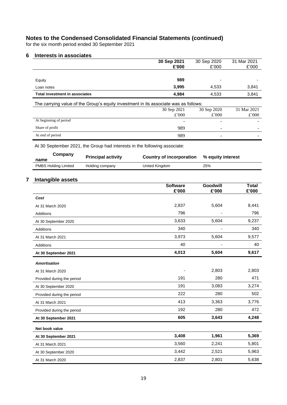for the six month period ended 30 September 2021

## **6 Interests in associates**

|                                                                                      | 30 Sep 2021 | 30 Sep 2020 | 31 Mar 2021 |
|--------------------------------------------------------------------------------------|-------------|-------------|-------------|
|                                                                                      | £'000       | £'000       | £'000       |
|                                                                                      |             |             |             |
| Equity                                                                               | 989         |             |             |
| Loan notes                                                                           | 3,995       | 4,533       | 3,841       |
| <b>Total investment in associates</b>                                                | 4,984       | 4,533       | 3,841       |
| The carrying value of the Group's equity investment in its associate was as follows: |             |             |             |
|                                                                                      | 30 Sep 2021 | 30 Sep 2020 | 31 Mar 2021 |
|                                                                                      | £'000       | £'000       |             |
|                                                                                      |             |             | £'000       |
| At beginning of period                                                               |             |             |             |
| Share of profit                                                                      | 989         |             |             |

At 30 September 2021, the Group had interests in the following associate:

| Company<br>name             | <b>Principal activity</b> | Country of incorporation | % equity interest |
|-----------------------------|---------------------------|--------------------------|-------------------|
| <b>PMBS Holding Limited</b> | Holding company           | United Kingdom           | 25%               |

# **7 Intangible assets**

|                            | <b>Software</b><br>£'000 | Goodwill<br>£'000 | <b>Total</b><br>£'000 |
|----------------------------|--------------------------|-------------------|-----------------------|
| Cost                       |                          |                   |                       |
| At 31 March 2020           | 2,837                    | 5,604             | 8,441                 |
| <b>Additions</b>           | 796                      |                   | 796                   |
| At 30 September 2020       | 3,633                    | 5,604             | 9,237                 |
| <b>Additions</b>           | 340                      |                   | 340                   |
| At 31 March 2021           | 3,973                    | 5,604             | 9,577                 |
| <b>Additions</b>           | 40                       |                   | 40                    |
| At 30 September 2021       | 4,013                    | 5,604             | 9,617                 |
| <b>Amortisation</b>        |                          |                   |                       |
| At 31 March 2020           |                          | 2,803             | 2,803                 |
| Provided during the period | 191                      | 280               | 471                   |
| At 30 September 2020       | 191                      | 3,083             | 3,274                 |
| Provided during the period | 222                      | 280               | 502                   |
| At 31 March 2021           | 413                      | 3,363             | 3,776                 |
| Provided during the period | 192                      | 280               | 472                   |
| At 30 September 2021       | 605                      | 3,643             | 4,248                 |
| Net book value             |                          |                   |                       |
| At 30 September 2021       | 3,408                    | 1,961             | 5,369                 |
| At 31 March 2021           | 3,560                    | 2,241             | 5,801                 |
| At 30 September 2020       | 3,442                    | 2,521             | 5,963                 |
| At 31 March 2020           | 2,837                    | 2,801             | 5,638                 |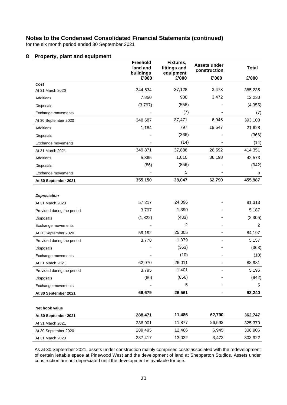for the six month period ended 30 September 2021

#### **8 Property, plant and equipment**

|                            | Freehold<br>land and<br>buildings | Fixtures,<br>fittings and<br>equipment | <b>Assets under</b><br>construction | <b>Total</b> |
|----------------------------|-----------------------------------|----------------------------------------|-------------------------------------|--------------|
|                            | £'000                             | £'000                                  | £'000                               | £'000        |
| Cost                       |                                   |                                        |                                     |              |
| At 31 March 2020           | 344,634                           | 37,128                                 | 3,473                               | 385,235      |
| Additions                  | 7,850                             | 908                                    | 3,472                               | 12,230       |
| <b>Disposals</b>           | (3,797)                           | (558)                                  |                                     | (4, 355)     |
| Exchange movements         |                                   | (7)                                    |                                     | (7)          |
| At 30 September 2020       | 348,687                           | 37,471                                 | 6,945                               | 393,103      |
| Additions                  | 1,184                             | 797                                    | 19,647                              | 21,628       |
| <b>Disposals</b>           |                                   | (366)                                  |                                     | (366)        |
| Exchange movements         |                                   | (14)                                   |                                     | (14)         |
| At 31 March 2021           | 349,871                           | 37,888                                 | 26,592                              | 414,351      |
| Additions                  | 5,365                             | 1,010                                  | 36,198                              | 42,573       |
| <b>Disposals</b>           | (86)                              | (856)                                  |                                     | (942)        |
| Exchange movements         |                                   | 5                                      |                                     | 5            |
| At 30 September 2021       | 355,150                           | 38,047                                 | 62,790                              | 455,987      |
|                            |                                   |                                        |                                     |              |
| <b>Depreciation</b>        |                                   |                                        |                                     |              |
| At 31 March 2020           | 57,217                            | 24,096                                 |                                     | 81,313       |
| Provided during the period | 3,797                             | 1,390                                  |                                     | 5,187        |
| Disposals                  | (1,822)                           | (483)                                  |                                     | (2, 305)     |
| Exchange movements         |                                   | 2                                      |                                     | 2            |
| At 30 September 2020       | 59,192                            | 25,005                                 |                                     | 84,197       |
| Provided during the period | 3,778                             | 1,379                                  |                                     | 5,157        |
| Disposals                  |                                   | (363)                                  |                                     | (363)        |
| Exchange movements         |                                   | (10)                                   |                                     | (10)         |
| At 31 March 2021           | 62,970                            | 26,011                                 |                                     | 88,981       |
| Provided during the period | 3,795                             | 1,401                                  |                                     | 5,196        |
| <b>Disposals</b>           | (86)                              | (856)                                  |                                     | (942)        |
| Exchange movements         |                                   | 5                                      |                                     | 5            |
| At 30 September 2021       | 66,679                            | 26,561                                 | ۰.                                  | 93,240       |
|                            |                                   |                                        |                                     |              |
| Net book value             |                                   |                                        |                                     |              |
| At 30 September 2021       | 288,471                           | 11,486                                 | 62,790                              | 362,747      |
| At 31 March 2021           | 286,901                           | 11,877                                 | 26,592                              | 325,370      |
| At 30 September 2020       | 289,495                           | 12,466                                 | 6,945                               | 308,906      |
| At 31 March 2020           | 287,417                           | 13,032                                 | 3,473                               | 303,922      |

As at 30 September 2021, assets under construction mainly comprises costs associated with the redevelopment of certain lettable space at Pinewood West and the development of land at Shepperton Studios. Assets under construction are not depreciated until the development is available for use.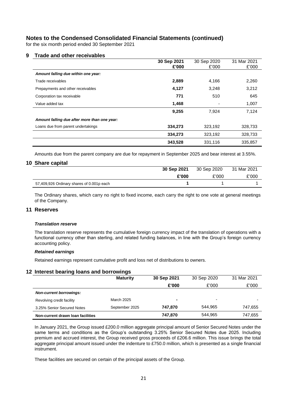for the six month period ended 30 September 2021

#### **9 Trade and other receivables**

|                                              | 30 Sep 2021 | 30 Sep 2020 | 31 Mar 2021 |
|----------------------------------------------|-------------|-------------|-------------|
|                                              | £'000       | £'000       | £'000       |
| Amount falling due within one year:          |             |             |             |
| Trade receivables                            | 2,889       | 4,166       | 2,260       |
| Prepayments and other receivables            | 4,127       | 3,248       | 3,212       |
| Corporation tax receivable                   | 771         | 510         | 645         |
| Value added tax                              | 1,468       |             | 1,007       |
|                                              | 9,255       | 7.924       | 7.124       |
| Amount falling due after more than one year: |             |             |             |
| Loans due from parent undertakings           | 334,273     | 323,192     | 328,733     |
|                                              | 334,273     | 323,192     | 328,733     |
|                                              | 343,528     | 331,116     | 335,857     |

Amounts due from the parent company are due for repayment in September 2025 and bear interest at 3.55%.

## **10 Share capital**

|                                           | 30 Sep 2021 | 30 Sep 2020 | 31 Mar 2021 |
|-------------------------------------------|-------------|-------------|-------------|
|                                           | £'000       | £'000       | £'000       |
| 57,409,926 Ordinary shares of 0.001p each |             |             |             |

The Ordinary shares, which carry no right to fixed income, each carry the right to one vote at general meetings of the Company.

#### **11 Reserves**

#### *Translation reserve*

The translation reserve represents the cumulative foreign currency impact of the translation of operations with a functional currency other than sterling, and related funding balances, in line with the Group's foreign currency accounting policy.

#### *Retained earnings*

Retained earnings represent cumulative profit and loss net of distributions to owners.

#### **12 Interest bearing loans and borrowings**

|                                   | <b>Maturity</b>   | 30 Sep 2021 | 30 Sep 2020 | 31 Mar 2021 |
|-----------------------------------|-------------------|-------------|-------------|-------------|
|                                   |                   | £'000       | £'000       | £'000       |
| <b>Non-current borrowings:</b>    |                   |             |             |             |
| Revolving credit facility         | <b>March 2025</b> | -           | ۰           |             |
| 3.25% Senior Secured Notes        | September 2025    | 747.870     | 544.965     | 747,655     |
| Non-current drawn loan facilities |                   | 747.870     | 544,965     | 747,655     |

In January 2021, the Group issued £200.0 million aggregate principal amount of Senior Secured Notes under the same terms and conditions as the Group's outstanding 3.25% Senior Secured Notes due 2025. Including premium and accrued interest, the Group received gross proceeds of £206.6 million. This issue brings the total aggregate principal amount issued under the indenture to £750.0 million, which is presented as a single financial instrument.

These facilities are secured on certain of the principal assets of the Group.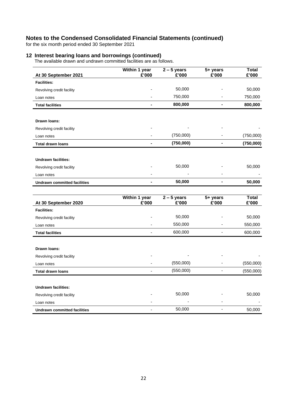for the six month period ended 30 September 2021

#### **12 Interest bearing loans and borrowings (continued)**

The available drawn and undrawn committed facilities are as follows.

| At 30 September 2021                | Within 1 year<br>£'000       | $2 - 5$ years<br>£'000 | 5+ years<br>£'000        | <b>Total</b><br>£'000 |
|-------------------------------------|------------------------------|------------------------|--------------------------|-----------------------|
| <b>Facilities:</b>                  |                              |                        |                          |                       |
| Revolving credit facility           |                              | 50,000                 |                          | 50,000                |
| Loan notes                          |                              | 750,000                |                          | 750,000               |
| <b>Total facilities</b>             |                              | 800,000                | $\blacksquare$           | 800,000               |
|                                     |                              |                        |                          |                       |
| Drawn Ioans:                        |                              |                        |                          |                       |
| Revolving credit facility           |                              |                        |                          |                       |
| Loan notes                          |                              | (750,000)              |                          | (750,000)             |
| <b>Total drawn loans</b>            | $\blacksquare$               | (750,000)              | $\blacksquare$           | (750,000)             |
|                                     |                              |                        |                          |                       |
| <b>Undrawn facilities:</b>          |                              |                        |                          |                       |
| Revolving credit facility           |                              | 50,000                 |                          | 50,000                |
| Loan notes                          |                              |                        |                          |                       |
| <b>Undrawn committed facilities</b> | $\blacksquare$               | 50,000                 | $\blacksquare$           | 50,000                |
|                                     |                              |                        |                          |                       |
| At 30 September 2020                | Within 1 year<br>£'000       | $2 - 5$ years<br>£'000 | 5+ years<br>£'000        | <b>Total</b><br>£'000 |
| <b>Facilities:</b>                  |                              |                        |                          |                       |
| Revolving credit facility           |                              | 50,000                 |                          | 50,000                |
| Loan notes                          |                              | 550,000                |                          | 550,000               |
| <b>Total facilities</b>             | ÷,                           | 600,000                | $\overline{\phantom{a}}$ | 600,000               |
|                                     |                              |                        |                          |                       |
| Drawn Ioans:                        |                              |                        |                          |                       |
| Revolving credit facility           |                              |                        |                          |                       |
| Loan notes                          |                              | (550,000)              |                          | (550,000)             |
| <b>Total drawn loans</b>            | $\qquad \qquad \blacksquare$ | (550,000)              | $\overline{a}$           | (550,000)             |
|                                     |                              |                        |                          |                       |
| <b>Undrawn facilities:</b>          |                              | 50,000                 |                          | 50,000                |
| Revolving credit facility           |                              |                        |                          |                       |
| Loan notes                          |                              |                        |                          |                       |

**Undrawn committed facilities** 60,000 - 50,000 - 50,000 - 50,000 - 50,000 - 50,000 - 50,000 - 50,000 - 50,000 - 50,000 - 50,000 - 50,000 - 50,000 - 50,000 - 50,000 - 50,000 - 50,000 - 50,000 - 50,000 - 50,000 - 50,000 - 50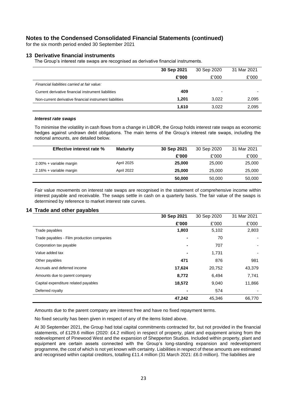for the six month period ended 30 September 2021

#### **13 Derivative financial instruments**

The Group's interest rate swaps are recognised as derivative financial instruments.

|                                                         | 30 Sep 2021 | 30 Sep 2020 | 31 Mar 2021 |
|---------------------------------------------------------|-------------|-------------|-------------|
|                                                         | £'000       | £'000       | £'000       |
| Financial liabilities carried at fair value:            |             |             |             |
| Current derivative financial instrument liabilities     | 409         |             |             |
| Non-current derivative financial instrument liabilities | 1.201       | 3.022       | 2,095       |
|                                                         | 1.610       | 3,022       | 2,095       |

#### *Interest rate swaps*

To minimise the volatility in cash flows from a change in LIBOR, the Group holds interest rate swaps as economic hedges against undrawn debt obligations. The main terms of the Group's interest rate swaps, including the notional amounts, are detailed below.

| <b>Effective interest rate %</b> | <b>Maturity</b> | 30 Sep 2021 | 30 Sep 2020 | 31 Mar 2021 |
|----------------------------------|-----------------|-------------|-------------|-------------|
|                                  |                 | £'000       | £'000       | £'000       |
| 2.00% + variable margin          | April 2025      | 25,000      | 25,000      | 25,000      |
| 2.16% + variable margin          | April 2022      | 25,000      | 25,000      | 25,000      |
|                                  |                 | 50,000      | 50,000      | 50,000      |

Fair value movements on interest rate swaps are recognised in the statement of comprehensive income within interest payable and receivable. The swaps settle in cash on a quarterly basis. The fair value of the swaps is determined by reference to market interest rate curves.

#### **14 Trade and other payables**

|                                            | 30 Sep 2021    | 30 Sep 2020 | 31 Mar 2021 |
|--------------------------------------------|----------------|-------------|-------------|
|                                            | £'000          | £'000       | £'000       |
| Trade payables                             | 1,803          | 5,102       | 2,803       |
| Trade payables - Film production companies | $\blacksquare$ | 70          |             |
| Corporation tax payable                    | ٠              | 707         | ٠           |
| Value added tax                            | $\blacksquare$ | 1,731       |             |
| Other payables                             | 471            | 876         | 981         |
| Accruals and deferred income               | 17,624         | 20,752      | 43,379      |
| Amounts due to parent company              | 8,772          | 6,494       | 7,741       |
| Capital expenditure related payables       | 18,572         | 9,040       | 11,866      |
| Deferred royalty                           | ٠              | 574         |             |
|                                            | 47,242         | 45,346      | 66,770      |

Amounts due to the parent company are interest free and have no fixed repayment terms.

No fixed security has been given in respect of any of the items listed above.

At 30 September 2021, the Group had total capital commitments contracted for, but not provided in the financial statements, of £129.6 million (2020: £4.2 million) in respect of property, plant and equipment arising from the redevelopment of Pinewood West and the expansion of Shepperton Studios. Included within property, plant and equipment are certain assets connected with the Group's long-standing expansion and redevelopment programme, the cost of which is not yet known with certainty. Liabilities in respect of these amounts are estimated and recognised within capital creditors, totalling £11.4 million (31 March 2021: £6.0 million). The liabilities are